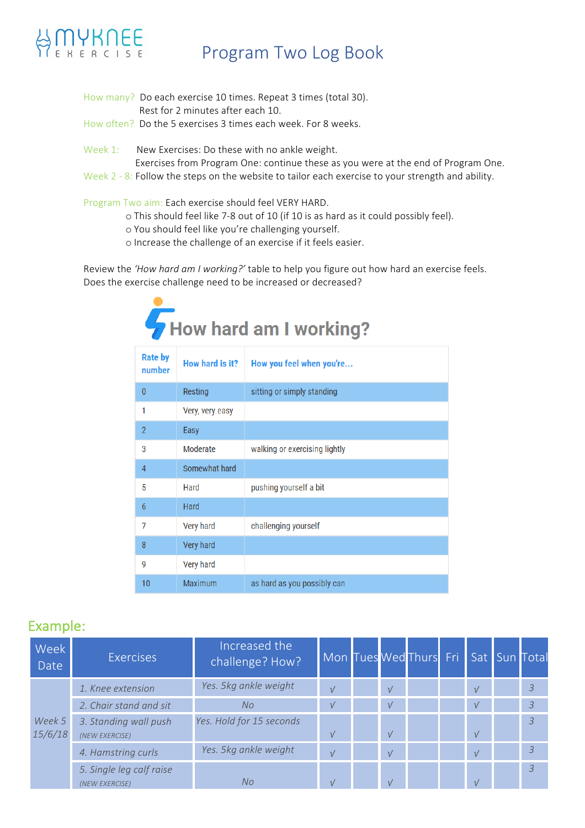

### Program Two Log Book

- How many? Do each exercise 10 times. Repeat 3 times (total 30). Rest for 2 minutes after each 10. How often? Do the 5 exercises 3 times each week. For 8 weeks.
- 
- Week 1: New Exercises: Do these with no ankle weight.
	- Exercises from Program One: continue these as you were at the end of Program One.
- Week  $2 8$ : Follow the steps on the website to tailor each exercise to your strength and ability.

Program Two aim: Each exercise should feel VERY HARD.

- o This should feel like 7-8 out of 10 (if 10 is as hard as it could possibly feel).
- o You should feel like you're challenging yourself.
- o Increase the challenge of an exercise if it feels easier.

Review the 'How hard am I working?' table to help you figure out how hard an exercise feels. Does the exercise challenge need to be increased or decreased?

| How hard am I working?   |                 |                               |  |  |  |  |  |  |
|--------------------------|-----------------|-------------------------------|--|--|--|--|--|--|
| <b>Rate by</b><br>number | How hard is it? | How you feel when you're      |  |  |  |  |  |  |
| $\mathbf{0}$             | Resting         | sitting or simply standing    |  |  |  |  |  |  |
| 1                        | Very, very easy |                               |  |  |  |  |  |  |
| $\overline{2}$           | Easy            |                               |  |  |  |  |  |  |
| 3                        | Moderate        | walking or exercising lightly |  |  |  |  |  |  |
| 4                        | Somewhat hard   |                               |  |  |  |  |  |  |
| 5                        | Hard            | pushing yourself a bit        |  |  |  |  |  |  |
| 6                        | Hard            |                               |  |  |  |  |  |  |
| 7                        | Very hard       | challenging yourself          |  |  |  |  |  |  |
| 8                        | Very hard       |                               |  |  |  |  |  |  |
| 9                        | Very hard       |                               |  |  |  |  |  |  |
| 10                       | Maximum         | as hard as you possibly can   |  |  |  |  |  |  |

#### Example:

| Week<br>Date      | <b>Exercises</b>                           | Increased the<br>challenge? How? | Mon Tues Wed Thurs Fri Sat Sun Total |               |  |            |                |
|-------------------|--------------------------------------------|----------------------------------|--------------------------------------|---------------|--|------------|----------------|
| Week 5<br>15/6/18 | 1. Knee extension                          | Yes. 5kg ankle weight            | $\sqrt{ }$                           | $\sqrt{ }$    |  | $\sqrt{ }$ | $\overline{3}$ |
|                   | 2. Chair stand and sit                     | No.                              | $\sqrt{ }$                           | $\sqrt{ }$    |  | $\sqrt{ }$ | $\overline{3}$ |
|                   | 3. Standing wall push<br>(NEW EXERCISE)    | Yes. Hold for 15 seconds         | $\sqrt{ }$                           | $\sqrt{ }$    |  | $\sqrt{ }$ | $\overline{3}$ |
|                   | 4. Hamstring curls                         | Yes. 5kg ankle weight            | $\sqrt{ }$                           | $\frac{1}{2}$ |  | $\sqrt{ }$ | $\overline{3}$ |
|                   | 5. Single leg calf raise<br>(NEW EXERCISE) | No.                              | $\sqrt{ }$                           | $\sqrt{ }$    |  | $\sqrt{ }$ | $\mathcal{E}$  |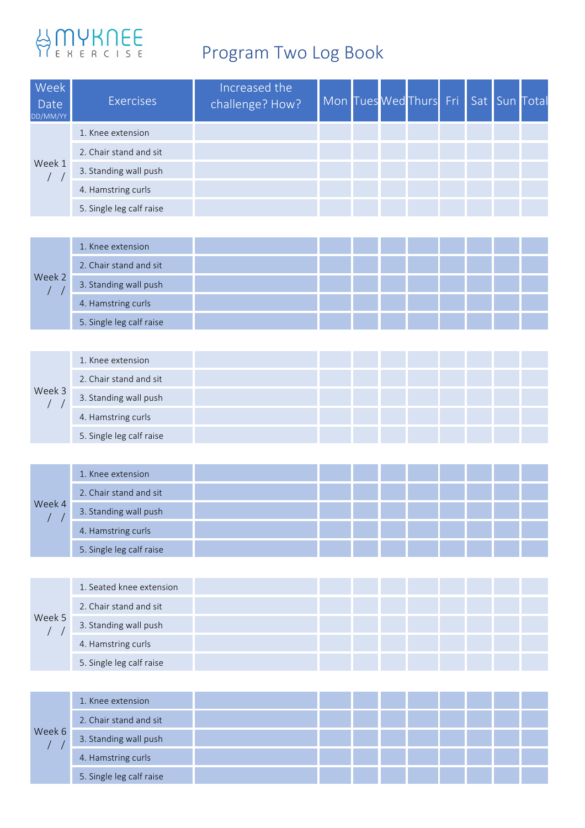# BONYKNEE

## Program Two Log Book

| Week<br>Date<br>DD/MM/YY                                | <b>Exercises</b>         | Increased the<br>challenge? How? |  | Mon Tues Wed Thurs | Fri |  | Sat Sun Total |
|---------------------------------------------------------|--------------------------|----------------------------------|--|--------------------|-----|--|---------------|
| Week 1<br>$/$ $/$                                       | 1. Knee extension        |                                  |  |                    |     |  |               |
|                                                         | 2. Chair stand and sit   |                                  |  |                    |     |  |               |
|                                                         | 3. Standing wall push    |                                  |  |                    |     |  |               |
|                                                         | 4. Hamstring curls       |                                  |  |                    |     |  |               |
|                                                         | 5. Single leg calf raise |                                  |  |                    |     |  |               |
|                                                         |                          |                                  |  |                    |     |  |               |
|                                                         | 1. Knee extension        |                                  |  |                    |     |  |               |
|                                                         | 2. Chair stand and sit   |                                  |  |                    |     |  |               |
| Week 2<br>$\prime$<br>$\prime$                          | 3. Standing wall push    |                                  |  |                    |     |  |               |
|                                                         | 4. Hamstring curls       |                                  |  |                    |     |  |               |
|                                                         | 5. Single leg calf raise |                                  |  |                    |     |  |               |
|                                                         |                          |                                  |  |                    |     |  |               |
|                                                         | 1. Knee extension        |                                  |  |                    |     |  |               |
|                                                         | 2. Chair stand and sit   |                                  |  |                    |     |  |               |
| Week 3<br>$\sqrt{2}$<br>$\sqrt{2}$                      | 3. Standing wall push    |                                  |  |                    |     |  |               |
|                                                         | 4. Hamstring curls       |                                  |  |                    |     |  |               |
|                                                         | 5. Single leg calf raise |                                  |  |                    |     |  |               |
|                                                         |                          |                                  |  |                    |     |  |               |
|                                                         | 1. Knee extension        |                                  |  |                    |     |  |               |
|                                                         | 2. Chair stand and sit   |                                  |  |                    |     |  |               |
| Week 4<br>$\sqrt{2}$<br>$\sqrt{2}$                      | 3. Standing wall push    |                                  |  |                    |     |  |               |
|                                                         | 4. Hamstring curls       |                                  |  |                    |     |  |               |
|                                                         | 5. Single leg calf raise |                                  |  |                    |     |  |               |
|                                                         |                          |                                  |  |                    |     |  |               |
|                                                         | 1. Seated knee extension |                                  |  |                    |     |  |               |
|                                                         | 2. Chair stand and sit   |                                  |  |                    |     |  |               |
| Week 5<br>$\left  \begin{array}{c} \end{array} \right $ | 3. Standing wall push    |                                  |  |                    |     |  |               |
|                                                         | 4. Hamstring curls       |                                  |  |                    |     |  |               |
|                                                         | 5. Single leg calf raise |                                  |  |                    |     |  |               |
|                                                         |                          |                                  |  |                    |     |  |               |
|                                                         | 1. Knee extension        |                                  |  |                    |     |  |               |
|                                                         | 2. Chair stand and sit   |                                  |  |                    |     |  |               |
| Week 6<br>$\sqrt{2}$<br>$\prime$                        | 3. Standing wall push    |                                  |  |                    |     |  |               |
|                                                         | 4. Hamstring curls       |                                  |  |                    |     |  |               |
|                                                         | 5. Single leg calf raise |                                  |  |                    |     |  |               |